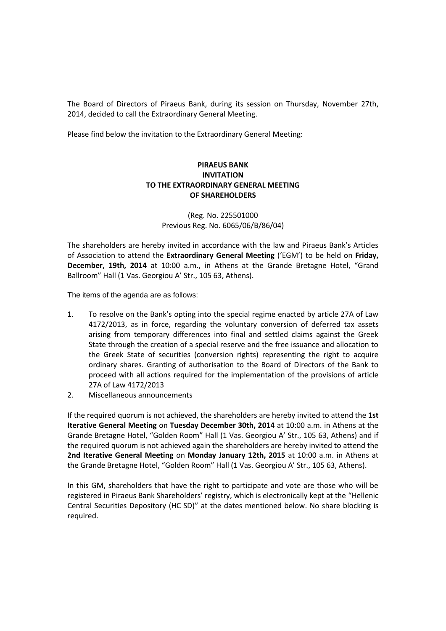The Board of Directors of Piraeus Bank, during its session on Thursday, November 27th, 2014, decided to call the Extraordinary General Meeting.

Please find below the invitation to the Extraordinary General Meeting:

## **PIRAEUS BANK INVITATION TO THE EXTRAORDINARY GENERAL MEETING OF SHAREHOLDERS**

(Reg. No. 225501000 Previous Reg. No. 6065/06/Β/86/04)

The shareholders are hereby invited in accordance with the law and Piraeus Bank's Articles of Association to attend the **Extraordinary General Meeting** ('EGM') to be held on **Friday, December, 19th, 2014** at 10:00 a.m., in Athens at the Grande Bretagne Hotel, "Grand Ballroom" Hall (1 Vas. Georgiou A' Str., 105 63, Athens).

The items of the agenda are as follows:

- 1. To resolve on the Bank's opting into the special regime enacted by article 27A of Law 4172/2013, as in force, regarding the voluntary conversion of deferred tax assets arising from temporary differences into final and settled claims against the Greek State through the creation of a special reserve and the free issuance and allocation to the Greek State of securities (conversion rights) representing the right to acquire ordinary shares. Granting of authorisation to the Board of Directors of the Bank to proceed with all actions required for the implementation of the provisions of article 27A of Law 4172/2013
- 2. Miscellaneous announcements

If the required quorum is not achieved, the shareholders are hereby invited to attend the **1st Iterative General Meeting** on **Tuesday December 30th, 2014** at 10:00 a.m. in Athens at the Grande Bretagne Hotel, "Golden Room" Hall (1 Vas. Georgiou A' Str., 105 63, Athens) and if the required quorum is not achieved again the shareholders are hereby invited to attend the **2nd Iterative General Meeting** on **Monday January 12th, 2015** at 10:00 a.m. in Athens at the Grande Bretagne Hotel, "Golden Room" Hall (1 Vas. Georgiou A' Str., 105 63, Athens).

In this GM, shareholders that have the right to participate and vote are those who will be registered in Piraeus Bank Shareholders' registry, which is electronically kept at the "Hellenic Central Securities Depository (HC SD)" at the dates mentioned below. No share blocking is required.